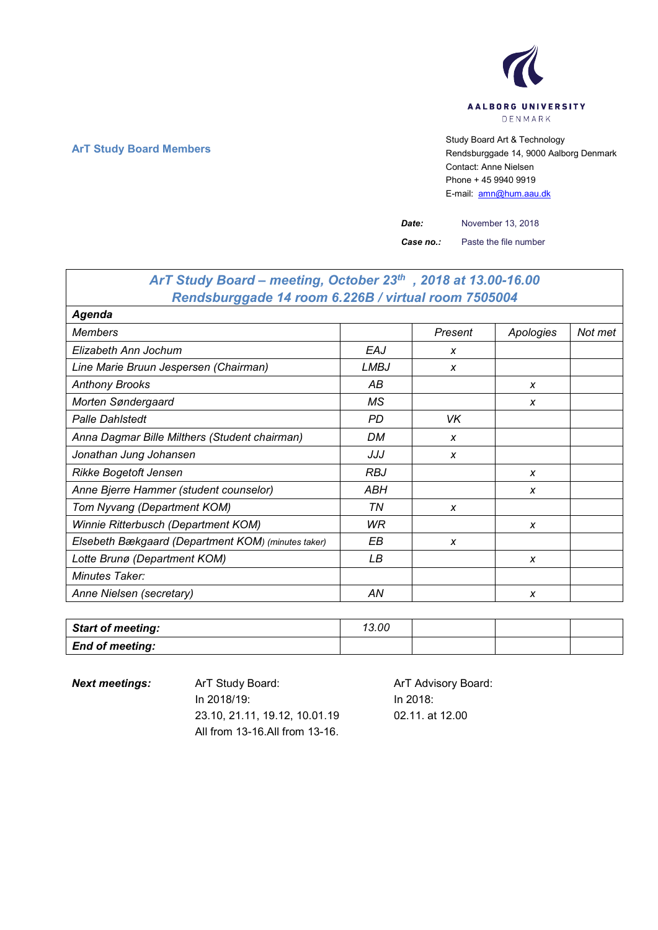

**ArT Study Board Members** Study Board Art & Technology **Art Study Board Art & Technology** Rendsburggade 14, 9000 Aalborg Denmark Contact: Anne Nielsen Phone + 45 9940 9919 E-mail: [amn@hum.aau.dk](mailto:amn@hum.aau.dk)

*Date:* November 13, 2018

*Case no.:* Paste the file number

| ArT Study Board – meeting, October 23th, 2018 at 13.00-16.00 |            |         |           |         |
|--------------------------------------------------------------|------------|---------|-----------|---------|
| Rendsburggade 14 room 6.226B / virtual room 7505004          |            |         |           |         |
| Agenda                                                       |            |         |           |         |
| <b>Members</b>                                               |            | Present | Apologies | Not met |
| Elizabeth Ann Jochum                                         | EAJ        | X       |           |         |
| Line Marie Bruun Jespersen (Chairman)                        | LMBJ       | X       |           |         |
| <b>Anthony Brooks</b>                                        | АB         |         | X         |         |
| Morten Søndergaard                                           | МS         |         | X         |         |
| <b>Palle Dahlstedt</b>                                       | <b>PD</b>  | VK      |           |         |
| Anna Dagmar Bille Milthers (Student chairman)                | DM         | X       |           |         |
| Jonathan Jung Johansen                                       | JJJ        | X       |           |         |
| Rikke Bogetoft Jensen                                        | <b>RBJ</b> |         | X         |         |
| Anne Bjerre Hammer (student counselor)                       | ABH        |         | X         |         |
| Tom Nyvang (Department KOM)                                  | ΤN         | x       |           |         |
| Winnie Ritterbusch (Department KOM)                          | WR         |         | X         |         |
| Elsebeth Bækgaard (Department KOM) (minutes taker)           | EВ         | X       |           |         |
| Lotte Brunø (Department KOM)                                 | LВ         |         | X         |         |
| Minutes Taker:                                               |            |         |           |         |
| Anne Nielsen (secretary)                                     | AN         |         | X         |         |

| <b>Start of meeting:</b> | 13.00 |  |  |
|--------------------------|-------|--|--|
| <b>End of meeting:</b>   |       |  |  |

**Next meetings:** ArT Study Board: ArT Advisory Board: In 2018/19: 23.10, 21.11, 19.12, 10.01.19 All from 13-16.All from 13-16.

In 2018: 02.11. at 12.00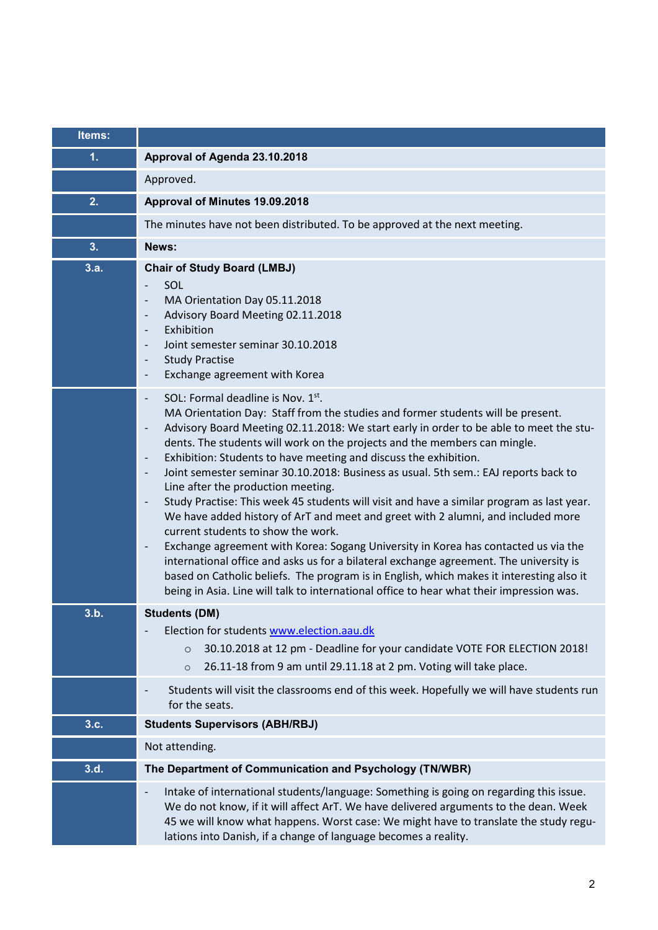| Items: |                                                                                                                                                                                                                                                                                                                                                                                                                                                                                                                                                                                                                                                                                                                                                                                                                                                                                                                                                                                                                                                                                                                                                                          |
|--------|--------------------------------------------------------------------------------------------------------------------------------------------------------------------------------------------------------------------------------------------------------------------------------------------------------------------------------------------------------------------------------------------------------------------------------------------------------------------------------------------------------------------------------------------------------------------------------------------------------------------------------------------------------------------------------------------------------------------------------------------------------------------------------------------------------------------------------------------------------------------------------------------------------------------------------------------------------------------------------------------------------------------------------------------------------------------------------------------------------------------------------------------------------------------------|
| 1.     | Approval of Agenda 23.10.2018                                                                                                                                                                                                                                                                                                                                                                                                                                                                                                                                                                                                                                                                                                                                                                                                                                                                                                                                                                                                                                                                                                                                            |
|        | Approved.                                                                                                                                                                                                                                                                                                                                                                                                                                                                                                                                                                                                                                                                                                                                                                                                                                                                                                                                                                                                                                                                                                                                                                |
| 2.     | Approval of Minutes 19.09.2018                                                                                                                                                                                                                                                                                                                                                                                                                                                                                                                                                                                                                                                                                                                                                                                                                                                                                                                                                                                                                                                                                                                                           |
|        | The minutes have not been distributed. To be approved at the next meeting.                                                                                                                                                                                                                                                                                                                                                                                                                                                                                                                                                                                                                                                                                                                                                                                                                                                                                                                                                                                                                                                                                               |
| 3.     | News:                                                                                                                                                                                                                                                                                                                                                                                                                                                                                                                                                                                                                                                                                                                                                                                                                                                                                                                                                                                                                                                                                                                                                                    |
| 3.a.   | <b>Chair of Study Board (LMBJ)</b><br>SOL<br>MA Orientation Day 05.11.2018<br>Advisory Board Meeting 02.11.2018<br>$\overline{\phantom{a}}$<br>Exhibition<br>$\overline{\phantom{a}}$<br>Joint semester seminar 30.10.2018<br><b>Study Practise</b><br>$\overline{\phantom{a}}$<br>Exchange agreement with Korea<br>$\overline{\phantom{a}}$                                                                                                                                                                                                                                                                                                                                                                                                                                                                                                                                                                                                                                                                                                                                                                                                                             |
|        | SOL: Formal deadline is Nov. 1st.<br>MA Orientation Day: Staff from the studies and former students will be present.<br>Advisory Board Meeting 02.11.2018: We start early in order to be able to meet the stu-<br>$\overline{\phantom{a}}$<br>dents. The students will work on the projects and the members can mingle.<br>Exhibition: Students to have meeting and discuss the exhibition.<br>Joint semester seminar 30.10.2018: Business as usual. 5th sem.: EAJ reports back to<br>Line after the production meeting.<br>Study Practise: This week 45 students will visit and have a similar program as last year.<br>$\overline{\phantom{a}}$<br>We have added history of ArT and meet and greet with 2 alumni, and included more<br>current students to show the work.<br>Exchange agreement with Korea: Sogang University in Korea has contacted us via the<br>$\qquad \qquad -$<br>international office and asks us for a bilateral exchange agreement. The university is<br>based on Catholic beliefs. The program is in English, which makes it interesting also it<br>being in Asia. Line will talk to international office to hear what their impression was. |
| 3.b.   | <b>Students (DM)</b><br>Election for students www.election.aau.dk<br>30.10.2018 at 12 pm - Deadline for your candidate VOTE FOR ELECTION 2018!<br>$\circ$<br>26.11-18 from 9 am until 29.11.18 at 2 pm. Voting will take place.<br>$\circ$                                                                                                                                                                                                                                                                                                                                                                                                                                                                                                                                                                                                                                                                                                                                                                                                                                                                                                                               |
|        | Students will visit the classrooms end of this week. Hopefully we will have students run<br>for the seats.                                                                                                                                                                                                                                                                                                                                                                                                                                                                                                                                                                                                                                                                                                                                                                                                                                                                                                                                                                                                                                                               |
| 3.c.   | <b>Students Supervisors (ABH/RBJ)</b>                                                                                                                                                                                                                                                                                                                                                                                                                                                                                                                                                                                                                                                                                                                                                                                                                                                                                                                                                                                                                                                                                                                                    |
|        | Not attending.                                                                                                                                                                                                                                                                                                                                                                                                                                                                                                                                                                                                                                                                                                                                                                                                                                                                                                                                                                                                                                                                                                                                                           |
| 3.d.   | The Department of Communication and Psychology (TN/WBR)                                                                                                                                                                                                                                                                                                                                                                                                                                                                                                                                                                                                                                                                                                                                                                                                                                                                                                                                                                                                                                                                                                                  |
|        | Intake of international students/language: Something is going on regarding this issue.<br>$\overline{\phantom{a}}$<br>We do not know, if it will affect ArT. We have delivered arguments to the dean. Week<br>45 we will know what happens. Worst case: We might have to translate the study regu-<br>lations into Danish, if a change of language becomes a reality.                                                                                                                                                                                                                                                                                                                                                                                                                                                                                                                                                                                                                                                                                                                                                                                                    |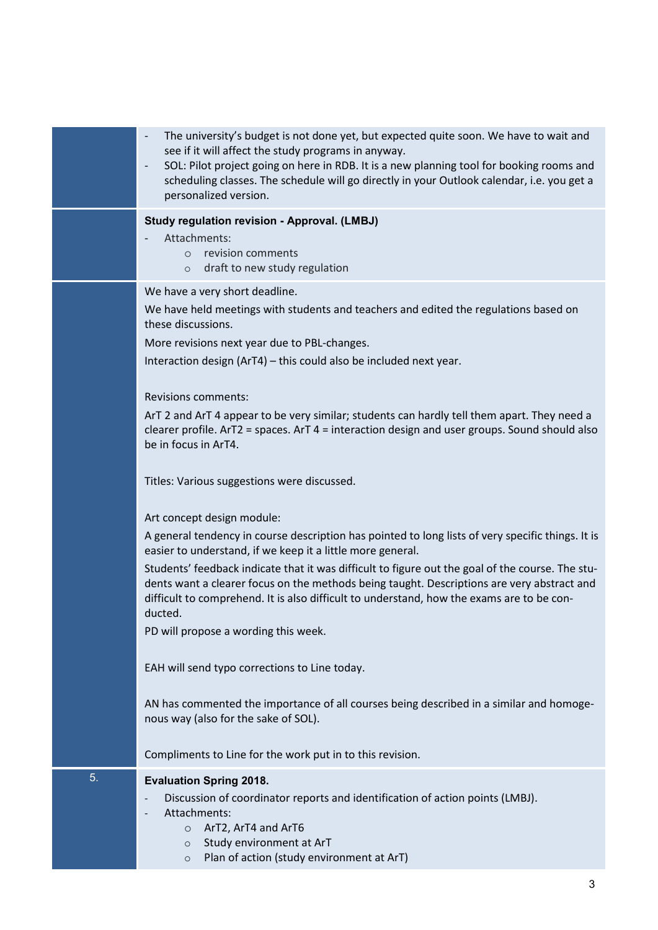|    | The university's budget is not done yet, but expected quite soon. We have to wait and<br>$\overline{\phantom{a}}$<br>see if it will affect the study programs in anyway.<br>SOL: Pilot project going on here in RDB. It is a new planning tool for booking rooms and<br>$\overline{\phantom{a}}$<br>scheduling classes. The schedule will go directly in your Outlook calendar, i.e. you get a<br>personalized version. |
|----|-------------------------------------------------------------------------------------------------------------------------------------------------------------------------------------------------------------------------------------------------------------------------------------------------------------------------------------------------------------------------------------------------------------------------|
|    | <b>Study regulation revision - Approval. (LMBJ)</b><br>Attachments:<br>o revision comments<br>draft to new study regulation<br>$\circ$                                                                                                                                                                                                                                                                                  |
|    | We have a very short deadline.<br>We have held meetings with students and teachers and edited the regulations based on<br>these discussions.<br>More revisions next year due to PBL-changes.<br>Interaction design (ArT4) - this could also be included next year.                                                                                                                                                      |
|    | <b>Revisions comments:</b><br>ArT 2 and ArT 4 appear to be very similar; students can hardly tell them apart. They need a<br>clearer profile. $ATZ = spaces$ . $ATT = interaction$ design and user groups. Sound should also<br>be in focus in ArT4.                                                                                                                                                                    |
|    | Titles: Various suggestions were discussed.                                                                                                                                                                                                                                                                                                                                                                             |
|    | Art concept design module:<br>A general tendency in course description has pointed to long lists of very specific things. It is<br>easier to understand, if we keep it a little more general.                                                                                                                                                                                                                           |
|    | Students' feedback indicate that it was difficult to figure out the goal of the course. The stu-<br>dents want a clearer focus on the methods being taught. Descriptions are very abstract and<br>difficult to comprehend. It is also difficult to understand, how the exams are to be con-<br>ducted.<br>PD will propose a wording this week.                                                                          |
|    | EAH will send typo corrections to Line today.                                                                                                                                                                                                                                                                                                                                                                           |
|    | AN has commented the importance of all courses being described in a similar and homoge-<br>nous way (also for the sake of SOL).                                                                                                                                                                                                                                                                                         |
|    | Compliments to Line for the work put in to this revision.                                                                                                                                                                                                                                                                                                                                                               |
| 5. | <b>Evaluation Spring 2018.</b><br>Discussion of coordinator reports and identification of action points (LMBJ).<br>Attachments:<br>O ArT2, ArT4 and ArT6<br>Study environment at ArT<br>$\circ$<br>Plan of action (study environment at ArT)<br>$\circ$                                                                                                                                                                 |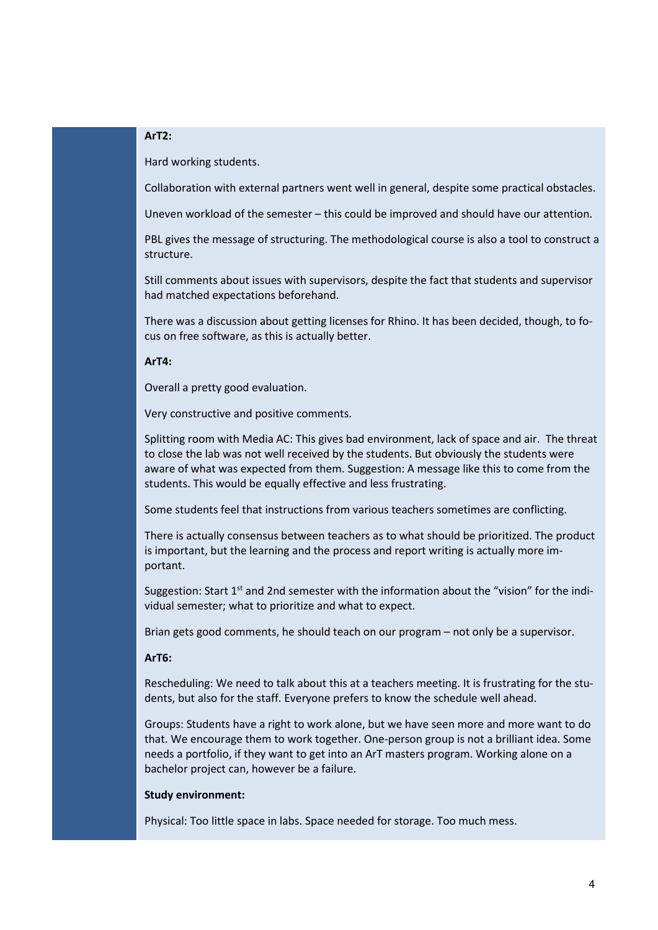# **ArT2:**

Hard working students.

Collaboration with external partners went well in general, despite some practical obstacles.

Uneven workload of the semester – this could be improved and should have our attention.

PBL gives the message of structuring. The methodological course is also a tool to construct a structure.

Still comments about issues with supervisors, despite the fact that students and supervisor had matched expectations beforehand.

There was a discussion about getting licenses for Rhino. It has been decided, though, to focus on free software, as this is actually better.

### **ArT4:**

Overall a pretty good evaluation.

Very constructive and positive comments.

Splitting room with Media AC: This gives bad environment, lack of space and air. The threat to close the lab was not well received by the students. But obviously the students were aware of what was expected from them. Suggestion: A message like this to come from the students. This would be equally effective and less frustrating.

Some students feel that instructions from various teachers sometimes are conflicting.

There is actually consensus between teachers as to what should be prioritized. The product is important, but the learning and the process and report writing is actually more important.

Suggestion: Start  $1<sup>st</sup>$  and 2nd semester with the information about the "vision" for the individual semester; what to prioritize and what to expect.

Brian gets good comments, he should teach on our program – not only be a supervisor.

# **ArT6:**

Rescheduling: We need to talk about this at a teachers meeting. It is frustrating for the students, but also for the staff. Everyone prefers to know the schedule well ahead.

Groups: Students have a right to work alone, but we have seen more and more want to do that. We encourage them to work together. One-person group is not a brilliant idea. Some needs a portfolio, if they want to get into an ArT masters program. Working alone on a bachelor project can, however be a failure.

## **Study environment:**

Physical: Too little space in labs. Space needed for storage. Too much mess.